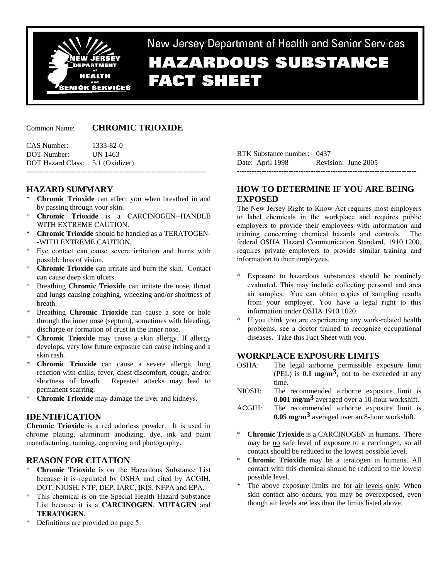

New Jersey Department of Health and Senior Services

# **HAZARDOUS SUBSTANCE FACT SHEET**

#### Common Name: **CHROMIC TRIOXIDE**

CAS Number: 1333-82-0 DOT Number: UN 1463 DOT Hazard Class: 5.1 (Oxidizer) -------------------------------------------------------------------------

# **HAZARD SUMMARY**

- **Chromic Trioxide** can affect you when breathed in and by passing through your skin.
- \* **Chromic Trioxide** is a CARCINOGEN--HANDLE WITH EXTREME CAUTION.
- \* **Chromic Trioxide** should be handled as a TERATOGEN- -WITH EXTREME CAUTION.
- \* Eye contact can cause severe irritation and burns with possible loss of vision.
- **Chromic Trioxide** can irritate and burn the skin. Contact can cause deep skin ulcers.
- Breathing **Chromic Trioxide** can irritate the nose, throat and lungs causing coughing, wheezing and/or shortness of breath.
- Breathing **Chromic Trioxide** can cause a sore or hole through the inner nose (septum), sometimes with bleeding, discharge or formation of crust in the inner nose.
- \* **Chromic Trioxide** may cause a skin allergy. If allergy develops, very low future exposure can cause itching and a skin rash.
- **Chromic Trioxide** can cause a severe allergic lung reaction with chills, fever, chest discomfort, cough, and/or shortness of breath. Repeated attacks may lead to permanent scarring.
- \* **Chromic Trioxide** may damage the liver and kidneys.

# **IDENTIFICATION**

**Chromic Trioxide** is a red odorless powder. It is used in chrome plating, aluminum anodizing, dye, ink and paint manufacturing, tanning, engraving and photography.

#### **REASON FOR CITATION**

- \* **Chromic Trioxide** is on the Hazardous Substance List because it is regulated by OSHA and cited by ACGIH, DOT, NIOSH, NTP, DEP, IARC, IRIS, NFPA and EPA.
- \* This chemical is on the Special Health Hazard Substance List because it is a **CARCINOGEN**, **MUTAGEN** and **TERATOGEN**.
- Definitions are provided on page 5.

RTK Substance number: 0437 Date: April 1998 Revision: June 2005 -------------------------------------------------------------------------

# **HOW TO DETERMINE IF YOU ARE BEING EXPOSED**

The New Jersey Right to Know Act requires most employers to label chemicals in the workplace and requires public employers to provide their employees with information and training concerning chemical hazards and controls. The federal OSHA Hazard Communication Standard, 1910.1200, requires private employers to provide similar training and information to their employees.

- \* Exposure to hazardous substances should be routinely evaluated. This may include collecting personal and area air samples. You can obtain copies of sampling results from your employer. You have a legal right to this information under OSHA 1910.1020.
- \* If you think you are experiencing any work-related health problems, see a doctor trained to recognize occupational diseases. Take this Fact Sheet with you.

# **WORKPLACE EXPOSURE LIMITS**

- OSHA: The legal airborne permissible exposure limit (PEL) is **0.1 mg**/**m3**, not to be exceeded at any time.
- NIOSH: The recommended airborne exposure limit is **0.001 mg**/**m3** averaged over a 10-hour workshift.
- ACGIH: The recommended airborne exposure limit is **0.05 mg**/**m3** averaged over an 8-hour workshift.
- \* **Chromic Trioxide** is a CARCINOGEN in humans. There may be no safe level of exposure to a carcinogen, so all contact should be reduced to the lowest possible level.
- \* **Chromic Trioxide** may be a teratogen in humans. All contact with this chemical should be reduced to the lowest possible level.
- The above exposure limits are for <u>air levels only</u>. When skin contact also occurs, you may be overexposed, even though air levels are less than the limits listed above.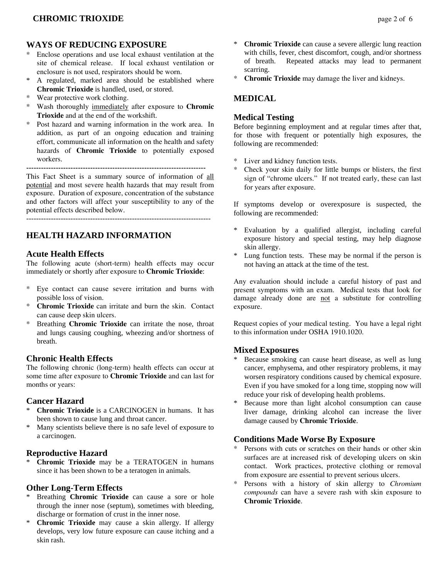# **WAYS OF REDUCING EXPOSURE**

- Enclose operations and use local exhaust ventilation at the site of chemical release. If local exhaust ventilation or enclosure is not used, respirators should be worn.
- \* A regulated, marked area should be established where **Chromic Trioxide** is handled, used, or stored.
- \* Wear protective work clothing.
- \* Wash thoroughly immediately after exposure to **Chromic Trioxide** and at the end of the workshift.
- Post hazard and warning information in the work area. In addition, as part of an ongoing education and training effort, communicate all information on the health and safety hazards of **Chromic Trioxide** to potentially exposed workers. -------------------------------------------------------------------------

This Fact Sheet is a summary source of information of all potential and most severe health hazards that may result from exposure. Duration of exposure, concentration of the substance and other factors will affect your susceptibility to any of the potential effects described below.

---------------------------------------------------------------------------

# **HEALTH HAZARD INFORMATION**

#### **Acute Health Effects**

The following acute (short-term) health effects may occur immediately or shortly after exposure to **Chromic Trioxide**:

- \* Eye contact can cause severe irritation and burns with possible loss of vision.
- **Chromic Trioxide** can irritate and burn the skin. Contact can cause deep skin ulcers.
- Breathing **Chromic Trioxide** can irritate the nose, throat and lungs causing coughing, wheezing and/or shortness of breath.

# **Chronic Health Effects**

The following chronic (long-term) health effects can occur at some time after exposure to **Chromic Trioxide** and can last for months or years:

#### **Cancer Hazard**

- \* **Chromic Trioxide** is a CARCINOGEN in humans. It has been shown to cause lung and throat cancer.
- Many scientists believe there is no safe level of exposure to a carcinogen.

# **Reproductive Hazard**

\* **Chromic Trioxide** may be a TERATOGEN in humans since it has been shown to be a teratogen in animals.

# **Other Long-Term Effects**

- Breathing **Chromic Trioxide** can cause a sore or hole through the inner nose (septum), sometimes with bleeding, discharge or formation of crust in the inner nose.
- \* **Chromic Trioxide** may cause a skin allergy. If allergy develops, very low future exposure can cause itching and a skin rash.
- \* **Chromic Trioxide** can cause a severe allergic lung reaction with chills, fever, chest discomfort, cough, and/or shortness of breath. Repeated attacks may lead to permanent scarring.
- **Chromic Trioxide** may damage the liver and kidneys.

# **MEDICAL**

### **Medical Testing**

Before beginning employment and at regular times after that, for those with frequent or potentially high exposures, the following are recommended:

- \* Liver and kidney function tests.
- \* Check your skin daily for little bumps or blisters, the first sign of "chrome ulcers." If not treated early, these can last for years after exposure.

If symptoms develop or overexposure is suspected, the following are recommended:

- Evaluation by a qualified allergist, including careful exposure history and special testing, may help diagnose skin allergy.
- \* Lung function tests. These may be normal if the person is not having an attack at the time of the test.

Any evaluation should include a careful history of past and present symptoms with an exam. Medical tests that look for damage already done are not a substitute for controlling exposure.

Request copies of your medical testing. You have a legal right to this information under OSHA 1910.1020.

#### **Mixed Exposures**

- Because smoking can cause heart disease, as well as lung cancer, emphysema, and other respiratory problems, it may worsen respiratory conditions caused by chemical exposure. Even if you have smoked for a long time, stopping now will reduce your risk of developing health problems.
- \* Because more than light alcohol consumption can cause liver damage, drinking alcohol can increase the liver damage caused by **Chromic Trioxide**.

# **Conditions Made Worse By Exposure**

- Persons with cuts or scratches on their hands or other skin surfaces are at increased risk of developing ulcers on skin contact. Work practices, protective clothing or removal from exposure are essential to prevent serious ulcers.
- \* Persons with a history of skin allergy to *Chromium compounds* can have a severe rash with skin exposure to **Chromic Trioxide**.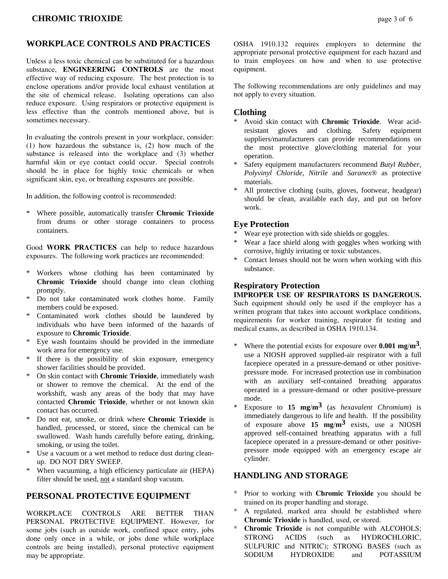# **WORKPLACE CONTROLS AND PRACTICES**

Unless a less toxic chemical can be substituted for a hazardous substance, **ENGINEERING CONTROLS** are the most effective way of reducing exposure. The best protection is to enclose operations and/or provide local exhaust ventilation at the site of chemical release. Isolating operations can also reduce exposure. Using respirators or protective equipment is less effective than the controls mentioned above, but is sometimes necessary.

In evaluating the controls present in your workplace, consider: (1) how hazardous the substance is, (2) how much of the substance is released into the workplace and (3) whether harmful skin or eye contact could occur. Special controls should be in place for highly toxic chemicals or when significant skin, eye, or breathing exposures are possible.

In addition, the following control is recommended:

\* Where possible, automatically transfer **Chromic Trioxide** from drums or other storage containers to process containers.

Good **WORK PRACTICES** can help to reduce hazardous exposures. The following work practices are recommended:

- \* Workers whose clothing has been contaminated by **Chromic Trioxide** should change into clean clothing promptly.
- Do not take contaminated work clothes home. Family members could be exposed.
- Contaminated work clothes should be laundered by individuals who have been informed of the hazards of exposure to **Chromic Trioxide**.
- \* Eye wash fountains should be provided in the immediate work area for emergency use.
- \* If there is the possibility of skin exposure, emergency shower facilities should be provided.
- \* On skin contact with **Chromic Trioxide**, immediately wash or shower to remove the chemical. At the end of the workshift, wash any areas of the body that may have contacted **Chromic Trioxide**, whether or not known skin contact has occurred.
- \* Do not eat, smoke, or drink where **Chromic Trioxide** is handled, processed, or stored, since the chemical can be swallowed. Wash hands carefully before eating, drinking, smoking, or using the toilet.
- Use a vacuum or a wet method to reduce dust during cleanup. DO NOT DRY SWEEP.
- When vacuuming, a high efficiency particulate air (HEPA) filter should be used, not a standard shop vacuum.

# **PERSONAL PROTECTIVE EQUIPMENT**

WORKPLACE CONTROLS ARE BETTER THAN PERSONAL PROTECTIVE EQUIPMENT. However, for some jobs (such as outside work, confined space entry, jobs done only once in a while, or jobs done while workplace controls are being installed), personal protective equipment may be appropriate.

OSHA 1910.132 requires employers to determine the appropriate personal protective equipment for each hazard and to train employees on how and when to use protective equipment.

The following recommendations are only guidelines and may not apply to every situation.

#### **Clothing**

- \* Avoid skin contact with **Chromic Trioxide**. Wear acidresistant gloves and clothing. Safety equipment suppliers/manufacturers can provide recommendations on the most protective glove/clothing material for your operation.
- \* Safety equipment manufacturers recommend *Butyl Rubber*, *Polyvinyl Chloride*, *Nitrile* and *Saranex*® as protective materials.
- All protective clothing (suits, gloves, footwear, headgear) should be clean, available each day, and put on before work.

### **Eye Protection**

- Wear eye protection with side shields or goggles.
- Wear a face shield along with goggles when working with corrosive, highly irritating or toxic substances.
- Contact lenses should not be worn when working with this substance.

#### **Respiratory Protection**

**IMPROPER USE OF RESPIRATORS IS DANGEROUS.** Such equipment should only be used if the employer has a written program that takes into account workplace conditions, requirements for worker training, respirator fit testing and medical exams, as described in OSHA 1910.134.

- Where the potential exists for exposure over  $0.001$   $mg/m<sup>3</sup>$ , use a NIOSH approved supplied-air respirator with a full facepiece operated in a pressure-demand or other positivepressure mode. For increased protection use in combination with an auxiliary self-contained breathing apparatus operated in a pressure-demand or other positive-pressure mode.
- \* Exposure to **15 mg**/**m3** (as *hexavalent Chromium*) is immediately dangerous to life and health. If the possibility of exposure above **15 mg**/**m3** exists, use a NIOSH approved self-contained breathing apparatus with a full facepiece operated in a pressure-demand or other positivepressure mode equipped with an emergency escape air cylinder.

# **HANDLING AND STORAGE**

- \* Prior to working with **Chromic Trioxide** you should be trained on its proper handling and storage.
- \* A regulated, marked area should be established where **Chromic Trioxide** is handled, used, or stored.
- **Chromic Trioxide** is not compatible with ALCOHOLS; STRONG ACIDS (such as HYDROCHLORIC, SULFURIC and NITRIC); STRONG BASES (such as SODIUM HYDROXIDE and POTASSIUM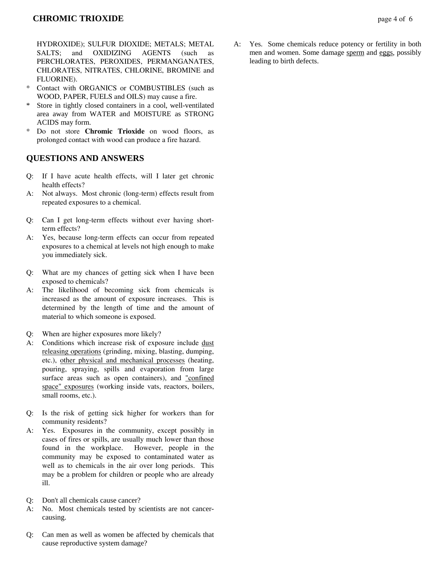## **CHROMIC TRIOXIDE** page 4 of 6

HYDROXIDE); SULFUR DIOXIDE; METALS; METAL SALTS; and OXIDIZING AGENTS (such as PERCHLORATES, PEROXIDES, PERMANGANATES, CHLORATES, NITRATES, CHLORINE, BROMINE and FLUORINE).

- Contact with ORGANICS or COMBUSTIBLES (such as WOOD, PAPER, FUELS and OILS) may cause a fire.
- Store in tightly closed containers in a cool, well-ventilated area away from WATER and MOISTURE as STRONG ACIDS may form.
- \* Do not store **Chromic Trioxide** on wood floors, as prolonged contact with wood can produce a fire hazard.

#### **QUESTIONS AND ANSWERS**

- Q: If I have acute health effects, will I later get chronic health effects?
- A: Not always. Most chronic (long-term) effects result from repeated exposures to a chemical.
- Q: Can I get long-term effects without ever having shortterm effects?
- A: Yes, because long-term effects can occur from repeated exposures to a chemical at levels not high enough to make you immediately sick.
- Q: What are my chances of getting sick when I have been exposed to chemicals?
- A: The likelihood of becoming sick from chemicals is increased as the amount of exposure increases. This is determined by the length of time and the amount of material to which someone is exposed.
- Q: When are higher exposures more likely?
- A: Conditions which increase risk of exposure include dust releasing operations (grinding, mixing, blasting, dumping, etc.), other physical and mechanical processes (heating, pouring, spraying, spills and evaporation from large surface areas such as open containers), and "confined space" exposures (working inside vats, reactors, boilers, small rooms, etc.).
- Q: Is the risk of getting sick higher for workers than for community residents?
- A: Yes. Exposures in the community, except possibly in cases of fires or spills, are usually much lower than those found in the workplace. However, people in the community may be exposed to contaminated water as well as to chemicals in the air over long periods. This may be a problem for children or people who are already ill.
- Q: Don't all chemicals cause cancer?
- A: No. Most chemicals tested by scientists are not cancercausing.
- Q: Can men as well as women be affected by chemicals that cause reproductive system damage?

A: Yes. Some chemicals reduce potency or fertility in both men and women. Some damage sperm and eggs, possibly leading to birth defects.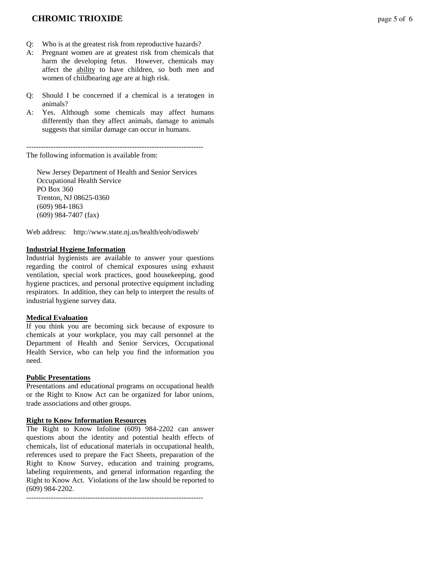### **CHROMIC TRIOXIDE** page 5 of 6

- Q: Who is at the greatest risk from reproductive hazards?
- A: Pregnant women are at greatest risk from chemicals that harm the developing fetus. However, chemicals may affect the ability to have children, so both men and women of childbearing age are at high risk.
- Q: Should I be concerned if a chemical is a teratogen in animals?
- A: Yes. Although some chemicals may affect humans differently than they affect animals, damage to animals suggests that similar damage can occur in humans.

------------------------------------------------------------------------ The following information is available from:

 New Jersey Department of Health and Senior Services Occupational Health Service PO Box 360 Trenton, NJ 08625-0360 (609) 984-1863 (609) 984-7407 (fax)

Web address: http://www.state.nj.us/health/eoh/odisweb/

#### **Industrial Hygiene Information**

Industrial hygienists are available to answer your questions regarding the control of chemical exposures using exhaust ventilation, special work practices, good housekeeping, good hygiene practices, and personal protective equipment including respirators. In addition, they can help to interpret the results of industrial hygiene survey data.

#### **Medical Evaluation**

If you think you are becoming sick because of exposure to chemicals at your workplace, you may call personnel at the Department of Health and Senior Services, Occupational Health Service, who can help you find the information you need.

#### **Public Presentations**

Presentations and educational programs on occupational health or the Right to Know Act can be organized for labor unions, trade associations and other groups.

#### **Right to Know Information Resources**

The Right to Know Infoline (609) 984-2202 can answer questions about the identity and potential health effects of chemicals, list of educational materials in occupational health, references used to prepare the Fact Sheets, preparation of the Right to Know Survey, education and training programs, labeling requirements, and general information regarding the Right to Know Act. Violations of the law should be reported to (609) 984-2202.

------------------------------------------------------------------------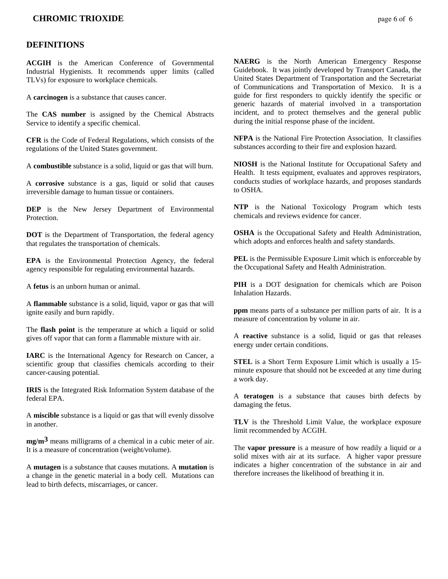#### **CHROMIC TRIOXIDE** page 6 of 6

#### **DEFINITIONS**

**ACGIH** is the American Conference of Governmental Industrial Hygienists. It recommends upper limits (called TLVs) for exposure to workplace chemicals.

A **carcinogen** is a substance that causes cancer.

The **CAS number** is assigned by the Chemical Abstracts Service to identify a specific chemical.

**CFR** is the Code of Federal Regulations, which consists of the regulations of the United States government.

A **combustible** substance is a solid, liquid or gas that will burn.

A **corrosive** substance is a gas, liquid or solid that causes irreversible damage to human tissue or containers.

**DEP** is the New Jersey Department of Environmental **Protection** 

**DOT** is the Department of Transportation, the federal agency that regulates the transportation of chemicals.

**EPA** is the Environmental Protection Agency, the federal agency responsible for regulating environmental hazards.

A **fetus** is an unborn human or animal.

A **flammable** substance is a solid, liquid, vapor or gas that will ignite easily and burn rapidly.

The **flash point** is the temperature at which a liquid or solid gives off vapor that can form a flammable mixture with air.

**IARC** is the International Agency for Research on Cancer, a scientific group that classifies chemicals according to their cancer-causing potential.

**IRIS** is the Integrated Risk Information System database of the federal EPA.

A **miscible** substance is a liquid or gas that will evenly dissolve in another.

**mg/m3** means milligrams of a chemical in a cubic meter of air. It is a measure of concentration (weight/volume).

A **mutagen** is a substance that causes mutations. A **mutation** is a change in the genetic material in a body cell. Mutations can lead to birth defects, miscarriages, or cancer.

**NAERG** is the North American Emergency Response Guidebook. It was jointly developed by Transport Canada, the United States Department of Transportation and the Secretariat of Communications and Transportation of Mexico. It is a guide for first responders to quickly identify the specific or generic hazards of material involved in a transportation incident, and to protect themselves and the general public during the initial response phase of the incident.

**NFPA** is the National Fire Protection Association. It classifies substances according to their fire and explosion hazard.

**NIOSH** is the National Institute for Occupational Safety and Health. It tests equipment, evaluates and approves respirators, conducts studies of workplace hazards, and proposes standards to OSHA.

**NTP** is the National Toxicology Program which tests chemicals and reviews evidence for cancer.

**OSHA** is the Occupational Safety and Health Administration, which adopts and enforces health and safety standards.

**PEL** is the Permissible Exposure Limit which is enforceable by the Occupational Safety and Health Administration.

**PIH** is a DOT designation for chemicals which are Poison Inhalation Hazards.

**ppm** means parts of a substance per million parts of air. It is a measure of concentration by volume in air.

A **reactive** substance is a solid, liquid or gas that releases energy under certain conditions.

**STEL** is a Short Term Exposure Limit which is usually a 15 minute exposure that should not be exceeded at any time during a work day.

A **teratogen** is a substance that causes birth defects by damaging the fetus.

**TLV** is the Threshold Limit Value, the workplace exposure limit recommended by ACGIH.

The **vapor pressure** is a measure of how readily a liquid or a solid mixes with air at its surface. A higher vapor pressure indicates a higher concentration of the substance in air and therefore increases the likelihood of breathing it in.